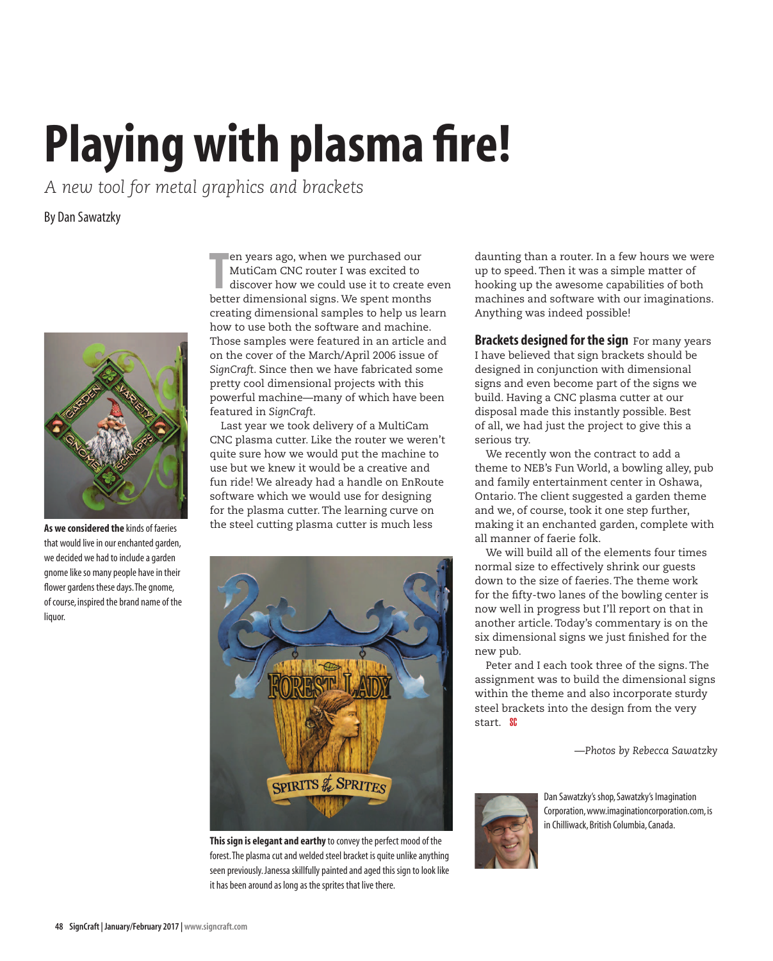## **Playing with plasma fire!**

*A new tool for metal graphics and brackets*

By Dan Sawatzky



**As we considered the** kinds of faeries that would live in our enchanted garden, we decided we had to include a garden gnome like so many people have in their flower gardens these days. The gnome, of course, inspired the brand name of the liquor.

**The Multican CNC router I was excited to discover how we could use it to create eventer dimensional signs. We spent months** en years ago, when we purchased our MutiCam CNC router I was excited to discover how we could use it to create even creating dimensional samples to help us learn how to use both the software and machine. Those samples were featured in an article and on the cover of the March/April 2006 issue of *SignCraft*. Since then we have fabricated some pretty cool dimensional projects with this powerful machine—many of which have been featured in *SignCraft*.

Last year we took delivery of a MultiCam CNC plasma cutter. Like the router we weren't quite sure how we would put the machine to use but we knew it would be a creative and fun ride! We already had a handle on EnRoute software which we would use for designing for the plasma cutter. The learning curve on the steel cutting plasma cutter is much less



**This sign is elegant and earthy** to convey the perfect mood of the forest. The plasma cut and welded steel bracket is quite unlike anything seen previously. Janessa skillfully painted and aged this sign to look like it has been around as long as the sprites that live there.

daunting than a router. In a few hours we were up to speed. Then it was a simple matter of hooking up the awesome capabilities of both machines and software with our imaginations. Anything was indeed possible!

**Brackets designed for the sign** For many years I have believed that sign brackets should be designed in conjunction with dimensional signs and even become part of the signs we build. Having a CNC plasma cutter at our disposal made this instantly possible. Best of all, we had just the project to give this a serious try.

We recently won the contract to add a theme to NEB's Fun World, a bowling alley, pub and family entertainment center in Oshawa, Ontario. The client suggested a garden theme and we, of course, took it one step further, making it an enchanted garden, complete with all manner of faerie folk.

We will build all of the elements four times normal size to effectively shrink our guests down to the size of faeries. The theme work for the fifty-two lanes of the bowling center is now well in progress but I'll report on that in another article. Today's commentary is on the six dimensional signs we just finished for the new pub.

Peter and I each took three of the signs. The assignment was to build the dimensional signs within the theme and also incorporate sturdy steel brackets into the design from the very start. **SC** 

*—Photos by Rebecca Sawatzky*



Dan Sawatzky's shop, Sawatzky's Imagination Corporation, www.imaginationcorporation.com, is in Chilliwack, British Columbia, Canada.